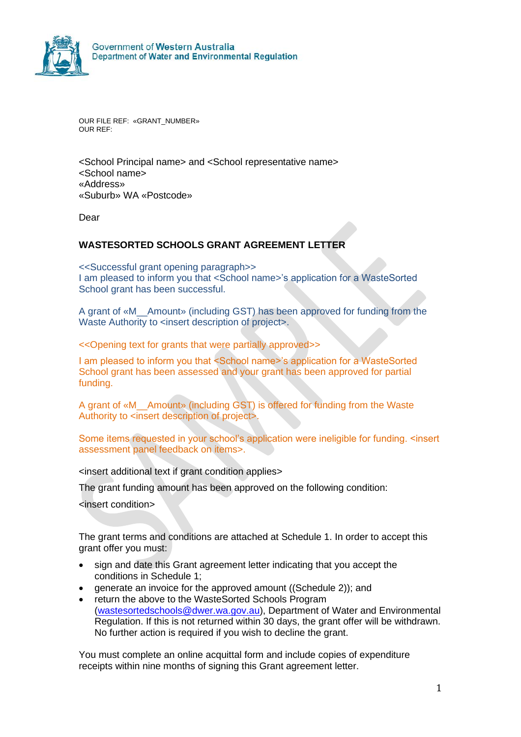

OUR FILE REF: «GRANT\_NUMBER» OUR REF:

<School Principal name> and <School representative name> <School name> «Address» «Suburb» WA «Postcode»

Dear

#### **WASTESORTED SCHOOLS GRANT AGREEMENT LETTER**

<<Successful grant opening paragraph>> I am pleased to inform you that <School name>'s application for a WasteSorted School grant has been successful.

A grant of «M\_\_Amount» (including GST) has been approved for funding from the Waste Authority to <insert description of project>.

<<Opening text for grants that were partially approved>>

I am pleased to inform you that <School name>'s application for a WasteSorted School grant has been assessed and your grant has been approved for partial funding.

A grant of «M\_\_Amount» (including GST) is offered for funding from the Waste Authority to <insert description of project>.

Some items requested in your school's application were ineligible for funding. <insert assessment panel feedback on items>.

<insert additional text if grant condition applies>

The grant funding amount has been approved on the following condition:

<insert condition>

The grant terms and conditions are attached at Schedule 1. In order to accept this grant offer you must:

- sign and date this Grant agreement letter indicating that you accept the conditions in Schedule 1;
- generate an invoice for the approved amount ((Schedule 2)); and
- return the above to the WasteSorted Schools Program [\(wastesortedschools@dwer.wa.gov.au\)](mailto:wastesortedschools@dwer.wa.gov.au), Department of Water and Environmental Regulation. If this is not returned within 30 days, the grant offer will be withdrawn. No further action is required if you wish to decline the grant.

You must complete an online acquittal form and include copies of expenditure receipts within nine months of signing this Grant agreement letter.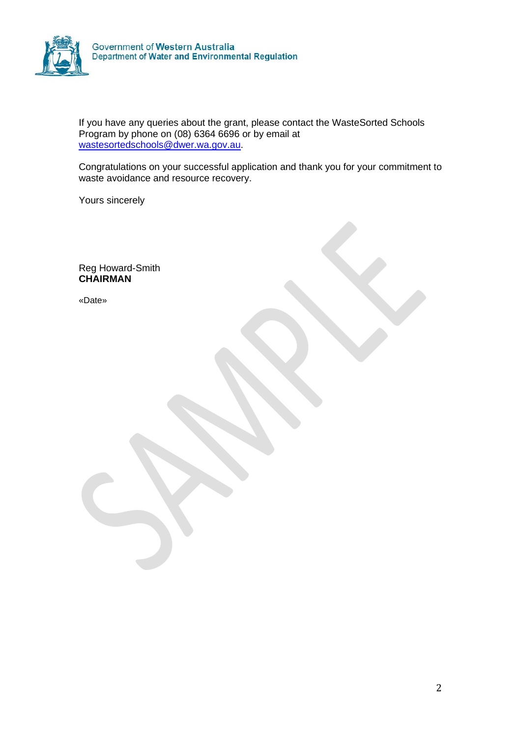

If you have any queries about the grant, please contact the WasteSorted Schools Program by phone on (08) 6364 6696 or by email at [wastesortedschools@dwer.wa.gov.au.](mailto:wastesortedschools@dwer.wa.gov.au)

Congratulations on your successful application and thank you for your commitment to waste avoidance and resource recovery.

Yours sincerely

Reg Howard-Smith **CHAIRMAN**

«Date»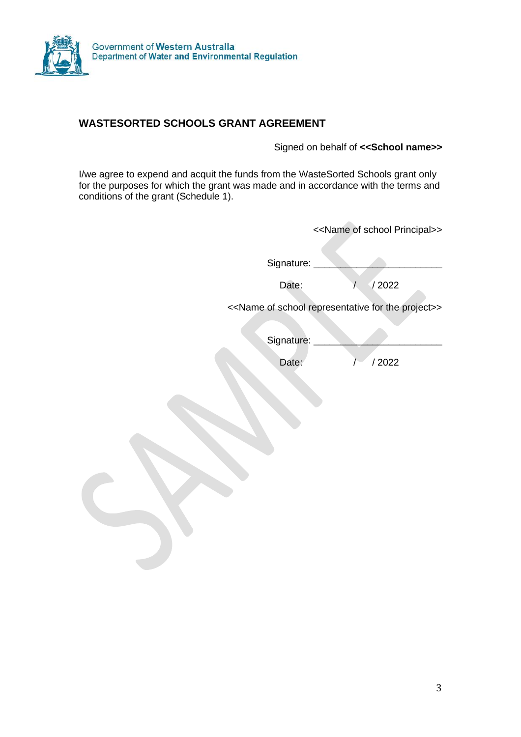

# **WASTESORTED SCHOOLS GRANT AGREEMENT**

Signed on behalf of **<<School name>>**

I/we agree to expend and acquit the funds from the WasteSorted Schools grant only for the purposes for which the grant was made and in accordance with the terms and conditions of the grant (Schedule 1).

| < <name of="" principal="" school="">&gt;</name>                               |  |
|--------------------------------------------------------------------------------|--|
| Signature:<br>/2022                                                            |  |
| < <name for="" of="" project="" representative="" school="" the="">&gt;</name> |  |
| Signature:                                                                     |  |
| /2022                                                                          |  |
|                                                                                |  |
|                                                                                |  |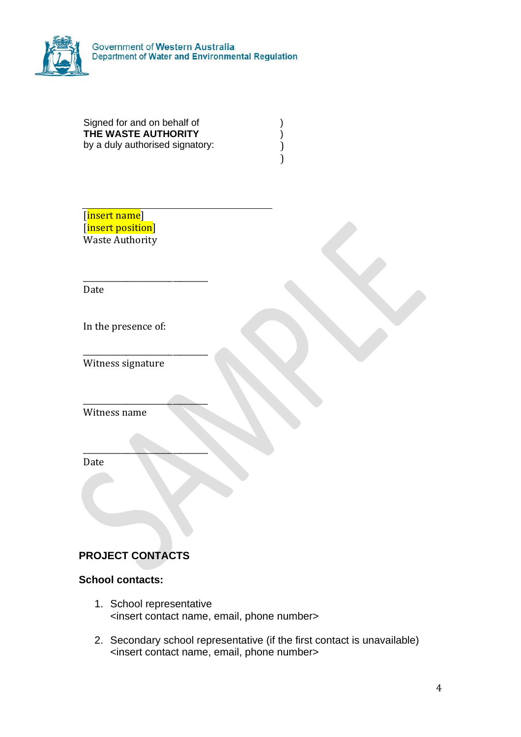

Government of Western Australia<br>Department of Water and Environmental Regulation

| Signed for and on behalf of     |  |
|---------------------------------|--|
| THE WASTE AUTHORITY             |  |
| by a duly authorised signatory: |  |
|                                 |  |

[insert name] [insert position] Waste Authority

\_\_\_\_\_\_\_\_\_\_\_\_\_\_\_\_\_\_\_\_\_\_\_\_\_\_\_\_\_\_\_\_ Date

In the presence of:

Witness signature

\_\_\_\_\_\_\_\_\_\_\_\_\_\_\_\_\_\_\_\_\_\_\_\_\_\_\_\_\_\_\_\_

 $\overline{\phantom{a}}$  , where  $\overline{\phantom{a}}$  , where  $\overline{\phantom{a}}$  , where  $\overline{\phantom{a}}$ 

\_\_\_\_\_\_\_\_\_\_\_\_\_\_\_\_\_\_\_\_\_\_\_\_\_\_\_\_\_\_\_\_

Witness name

Date

# **PROJECT CONTACTS**

### **School contacts:**

- 1. School representative <insert contact name, email, phone number>
- 2. Secondary school representative (if the first contact is unavailable) <insert contact name, email, phone number>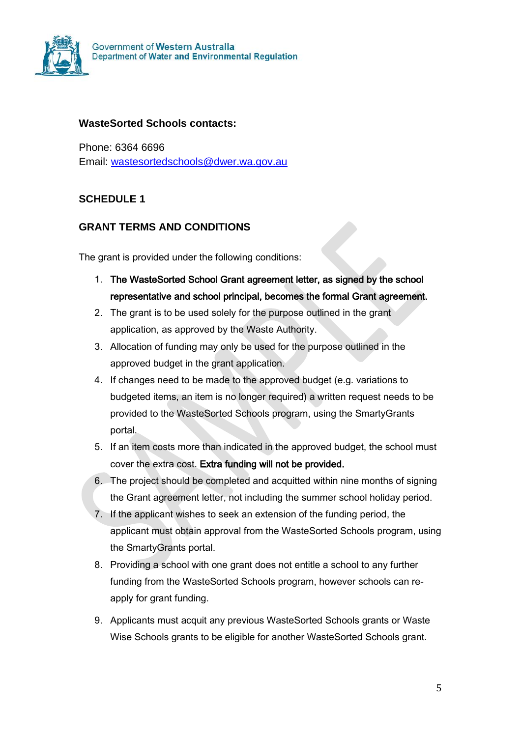

### **WasteSorted Schools contacts:**

Phone: 6364 6696 Email: [wastesortedschools@dwer.wa.gov.au](mailto:wastesortedschools@dwer.wa.gov.au)

# **SCHEDULE 1**

# **GRANT TERMS AND CONDITIONS**

The grant is provided under the following conditions:

- 1. The WasteSorted School Grant agreement letter, as signed by the school representative and school principal, becomes the formal Grant agreement.
- 2. The grant is to be used solely for the purpose outlined in the grant application, as approved by the Waste Authority.
- 3. Allocation of funding may only be used for the purpose outlined in the approved budget in the grant application.
- 4. If changes need to be made to the approved budget (e.g. variations to budgeted items, an item is no longer required) a written request needs to be provided to the WasteSorted Schools program, using the SmartyGrants portal.
- 5. If an item costs more than indicated in the approved budget, the school must cover the extra cost. Extra funding will not be provided.
- 6. The project should be completed and acquitted within nine months of signing the Grant agreement letter, not including the summer school holiday period.
- 7. If the applicant wishes to seek an extension of the funding period, the applicant must obtain approval from the WasteSorted Schools program, using the SmartyGrants portal.
- 8. Providing a school with one grant does not entitle a school to any further funding from the WasteSorted Schools program, however schools can reapply for grant funding.
- 9. Applicants must acquit any previous WasteSorted Schools grants or Waste Wise Schools grants to be eligible for another WasteSorted Schools grant.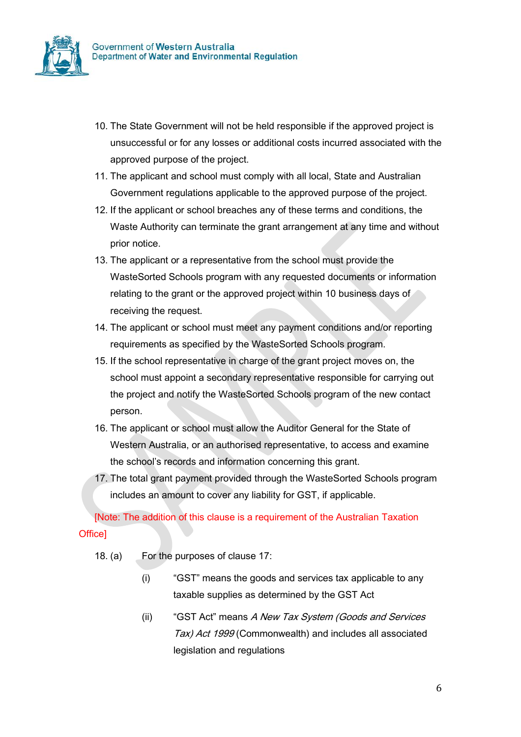

- 10. The State Government will not be held responsible if the approved project is unsuccessful or for any losses or additional costs incurred associated with the approved purpose of the project.
- 11. The applicant and school must comply with all local, State and Australian Government regulations applicable to the approved purpose of the project.
- 12. If the applicant or school breaches any of these terms and conditions, the Waste Authority can terminate the grant arrangement at any time and without prior notice.
- 13. The applicant or a representative from the school must provide the WasteSorted Schools program with any requested documents or information relating to the grant or the approved project within 10 business days of receiving the request.
- 14. The applicant or school must meet any payment conditions and/or reporting requirements as specified by the WasteSorted Schools program.
- 15. If the school representative in charge of the grant project moves on, the school must appoint a secondary representative responsible for carrying out the project and notify the WasteSorted Schools program of the new contact person.
- 16. The applicant or school must allow the Auditor General for the State of Western Australia, or an authorised representative, to access and examine the school's records and information concerning this grant.
- 17. The total grant payment provided through the WasteSorted Schools program includes an amount to cover any liability for GST, if applicable.

[Note: The addition of this clause is a requirement of the Australian Taxation Office]

- 18. (a) For the purposes of clause 17:
	- (i) "GST" means the goods and services tax applicable to any taxable supplies as determined by the GST Act
	- (ii) "GST Act" means A New Tax System (Goods and Services Tax) Act 1999 (Commonwealth) and includes all associated legislation and regulations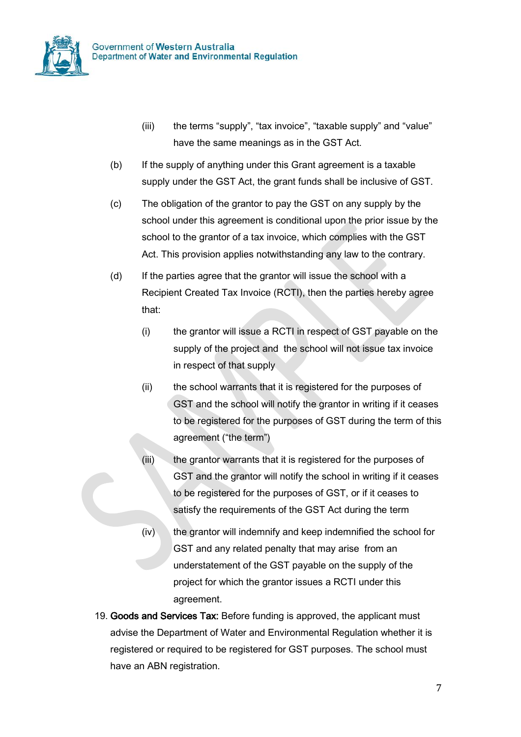

- (iii) the terms "supply", "tax invoice", "taxable supply" and "value" have the same meanings as in the GST Act.
- (b) If the supply of anything under this Grant agreement is a taxable supply under the GST Act, the grant funds shall be inclusive of GST.
- (c) The obligation of the grantor to pay the GST on any supply by the school under this agreement is conditional upon the prior issue by the school to the grantor of a tax invoice, which complies with the GST Act. This provision applies notwithstanding any law to the contrary.
- (d) If the parties agree that the grantor will issue the school with a Recipient Created Tax Invoice (RCTI), then the parties hereby agree that:
	- (i) the grantor will issue a RCTI in respect of GST payable on the supply of the project and the school will not issue tax invoice in respect of that supply
	- (ii) the school warrants that it is registered for the purposes of GST and the school will notify the grantor in writing if it ceases to be registered for the purposes of GST during the term of this agreement ("the term")
	- (iii) the grantor warrants that it is registered for the purposes of GST and the grantor will notify the school in writing if it ceases to be registered for the purposes of GST, or if it ceases to satisfy the requirements of the GST Act during the term
	- (iv) the grantor will indemnify and keep indemnified the school for GST and any related penalty that may arise from an understatement of the GST payable on the supply of the project for which the grantor issues a RCTI under this agreement.
- 19. Goods and Services Tax: Before funding is approved, the applicant must advise the Department of Water and Environmental Regulation whether it is registered or required to be registered for GST purposes. The school must have an ABN registration.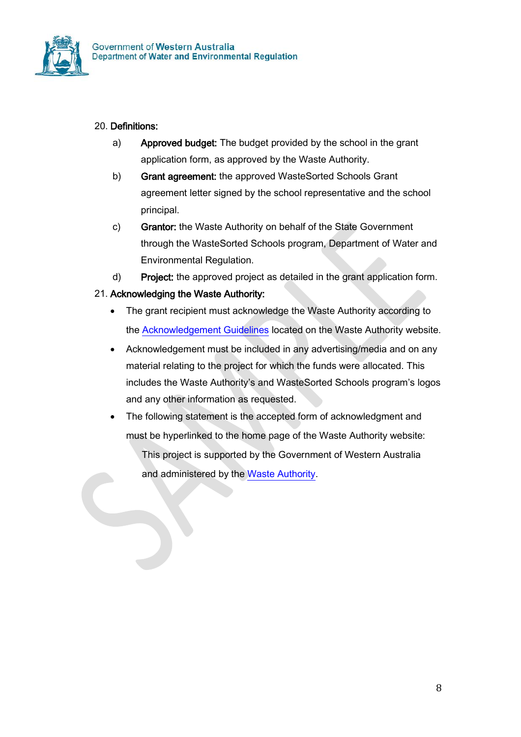

### 20. Definitions:

- a) Approved budget: The budget provided by the school in the grant application form, as approved by the Waste Authority.
- b) Grant agreement: the approved WasteSorted Schools Grant agreement letter signed by the school representative and the school principal.
- c) Grantor: the Waste Authority on behalf of the State Government through the WasteSorted Schools program, Department of Water and Environmental Regulation.
- d) Project: the approved project as detailed in the grant application form.

### 21. Acknowledging the Waste Authority:

- The grant recipient must acknowledge the Waste Authority according to the [Acknowledgement Guidelines](https://www.wasteauthority.wa.gov.au/publications/view/guidelines-materials/acknowledgement-guidelines) located on the Waste Authority website.
- Acknowledgement must be included in any advertising/media and on any material relating to the project for which the funds were allocated. This includes the Waste Authority's and WasteSorted Schools program's logos and any other information as requested.
- The following statement is the accepted form of acknowledgment and must be hyperlinked to the home page of the Waste Authority website:

This project is supported by the Government of Western Australia and administered by the [Waste Authority.](https://www.wasteauthority.wa.gov.au/)